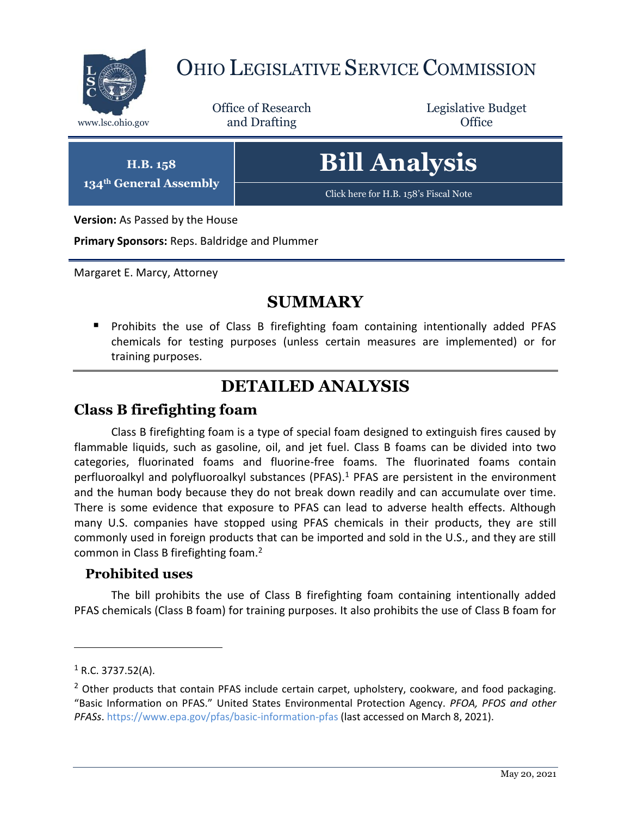

# OHIO LEGISLATIVE SERVICE COMMISSION

Office of Research www.lsc.ohio.gov **and Drafting Office** 

Legislative Budget

**H.B. 158 134th General Assembly**

# **Bill Analysis**

[Click here for H.B. 158](https://www.legislature.ohio.gov/legislation/legislation-documents?id=GA133-HB-328)'s Fiscal Note

**Version:** As Passed by the House

**Primary Sponsors:** Reps. Baldridge and Plummer

Margaret E. Marcy, Attorney

### **SUMMARY**

**Prohibits the use of Class B firefighting foam containing intentionally added PFAS** chemicals for testing purposes (unless certain measures are implemented) or for training purposes.

## **DETAILED ANALYSIS**

### **Class B firefighting foam**

Class B firefighting foam is a type of special foam designed to extinguish fires caused by flammable liquids, such as gasoline, oil, and jet fuel. Class B foams can be divided into two categories, fluorinated foams and fluorine-free foams. The fluorinated foams contain perfluoroalkyl and polyfluoroalkyl substances (PFAS).<sup>1</sup> PFAS are persistent in the environment and the human body because they do not break down readily and can accumulate over time. There is some evidence that exposure to PFAS can lead to adverse health effects. Although many U.S. companies have stopped using PFAS chemicals in their products, they are still commonly used in foreign products that can be imported and sold in the U.S., and they are still common in Class B firefighting foam.<sup>2</sup>

#### **Prohibited uses**

The bill prohibits the use of Class B firefighting foam containing intentionally added PFAS chemicals (Class B foam) for training purposes. It also prohibits the use of Class B foam for

 $\overline{a}$ 

 $1$  R.C. 3737.52(A).

 $<sup>2</sup>$  Other products that contain PFAS include certain carpet, upholstery, cookware, and food packaging.</sup> "Basic Information on PFAS." United States Environmental Protection Agency. *PFOA, PFOS and other PFASs*[. https://www.epa.gov/pfas/basic-information-pfas](https://www.epa.gov/pfas/basic-information-pfas) (last accessed on March 8, 2021).